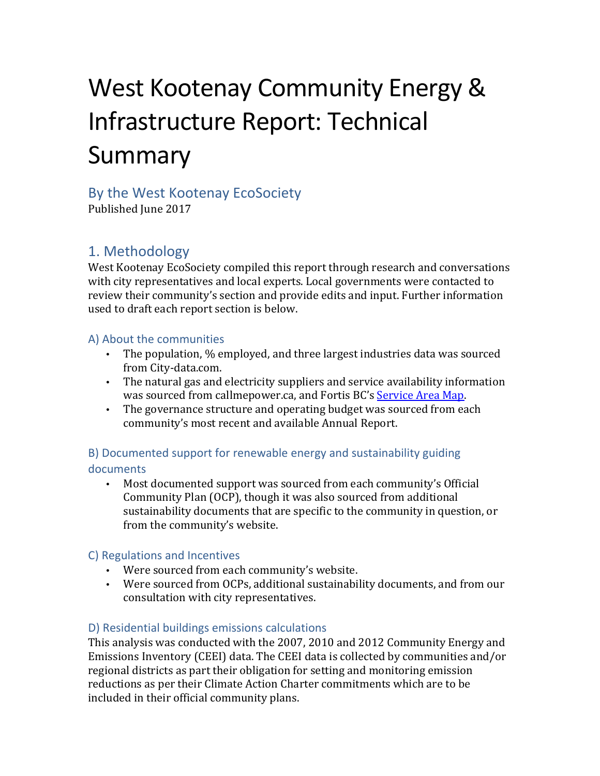# West Kootenay Community Energy & Infrastructure Report: Technical Summary

# By the West Kootenay EcoSociety

Published Iune 2017

# 1. Methodology

West Kootenay EcoSociety compiled this report through research and conversations with city representatives and local experts. Local governments were contacted to review their community's section and provide edits and input. Further information used to draft each report section is below.

#### A) About the communities

- The population, % employed, and three largest industries data was sourced from City-data.com.
- The natural gas and electricity suppliers and service availability information was sourced from callmepower.ca, and Fortis BC's Service Area Map.
- The governance structure and operating budget was sourced from each community's most recent and available Annual Report.

## B) Documented support for renewable energy and sustainability guiding documents

• Most documented support was sourced from each community's Official Community Plan (OCP), though it was also sourced from additional sustainability documents that are specific to the community in question, or from the community's website.

## C) Regulations and Incentives

- Were sourced from each community's website.
- Were sourced from OCPs, additional sustainability documents, and from our consultation with city representatives.

## D) Residential buildings emissions calculations

This analysis was conducted with the 2007, 2010 and 2012 Community Energy and Emissions Inventory (CEEI) data. The CEEI data is collected by communities and/or regional districts as part their obligation for setting and monitoring emission reductions as per their Climate Action Charter commitments which are to be included in their official community plans.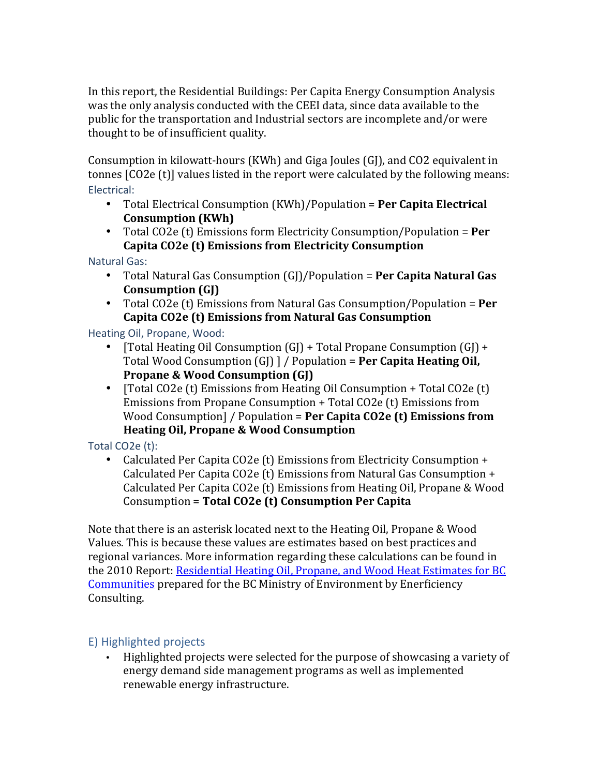In this report, the Residential Buildings: Per Capita Energy Consumption Analysis was the only analysis conducted with the CEEI data, since data available to the public for the transportation and Industrial sectors are incomplete and/or were thought to be of insufficient quality.

Consumption in kilowatt-hours  $(KWh)$  and Giga Joules  $(G)$ , and CO2 equivalent in tonnes  $[CO2e(t)]$  values listed in the report were calculated by the following means: Electrical:

- Total Electrical Consumption (KWh)/Population = **Per Capita Electrical Consumption (KWh)**
- Total CO2e (t) Emissions form Electricity Consumption/Population = **Per** Capita CO2e (t) Emissions from Electricity Consumption

**Natural Gas:** 

- Total Natural Gas Consumption (GJ)/Population = **Per Capita Natural Gas Consumption (GJ)**
- Total CO2e (t) Emissions from Natural Gas Consumption/Population = **Per** Capita CO2e (t) Emissions from Natural Gas Consumption

Heating Oil, Propane, Wood:

- [Total Heating Oil Consumption  $(G)$ ] + Total Propane Consumption  $(G)$ ] + Total Wood Consumption (GJ) ] / Population = **Per Capita Heating Oil, Propane & Wood Consumption (GJ)**
- [Total CO2e  $(t)$  Emissions from Heating Oil Consumption + Total CO2e  $(t)$ ] Emissions from Propane Consumption  $+$  Total CO2e (t) Emissions from Wood Consumption] / Population = **Per Capita CO2e (t) Emissions from Heating Oil, Propane & Wood Consumption**

#### Total CO2e $(t)$ :

• Calculated Per Capita CO2e (t) Emissions from Electricity Consumption + Calculated Per Capita CO2e (t) Emissions from Natural Gas Consumption  $+$ Calculated Per Capita CO2e (t) Emissions from Heating Oil, Propane & Wood Consumption = Total CO2e (t) Consumption Per Capita

Note that there is an asterisk located next to the Heating Oil, Propane  $& Wood$ Values. This is because these values are estimates based on best practices and regional variances. More information regarding these calculations can be found in the 2010 Report: Residential Heating Oil, Propane, and Wood Heat Estimates for BC Communities prepared for the BC Ministry of Environment by Enerficiency Consulting.

## E) Highlighted projects

• Highlighted projects were selected for the purpose of showcasing a variety of energy demand side management programs as well as implemented renewable energy infrastructure.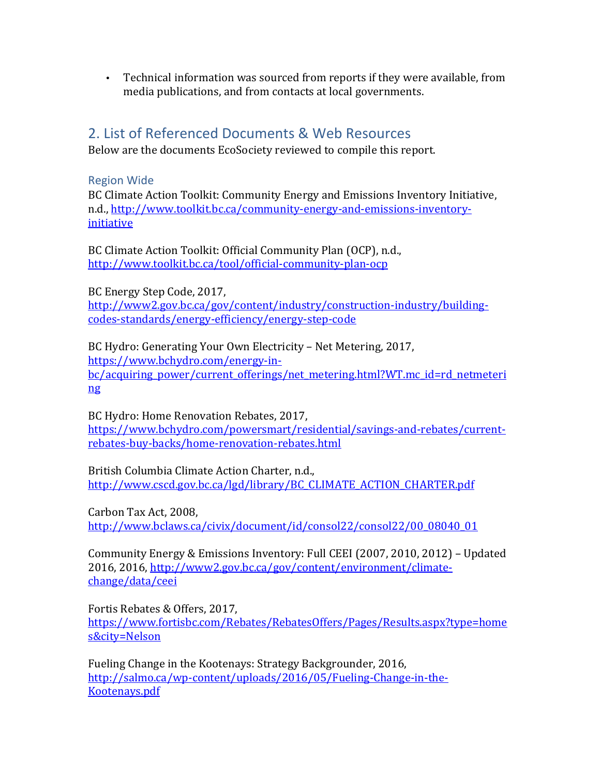• Technical information was sourced from reports if they were available, from media publications, and from contacts at local governments.

# 2. List of Referenced Documents & Web Resources

Below are the documents EcoSociety reviewed to compile this report.

#### Region Wide

BC Climate Action Toolkit: Community Energy and Emissions Inventory Initiative, n.d., http://www.toolkit.bc.ca/community-energy-and-emissions-inventoryinitiative

BC Climate Action Toolkit: Official Community Plan (OCP), n.d., http://www.toolkit.bc.ca/tool/official-community-plan-ocp

BC Energy Step Code, 2017, http://www2.gov.bc.ca/gov/content/industry/construction-industry/buildingcodes-standards/energy-efficiency/energy-step-code

BC Hydro: Generating Your Own Electricity – Net Metering, 2017, https://www.bchydro.com/energy-inbc/acquiring\_power/current\_offerings/net\_metering.html?WT.mc\_id=rd\_netmeteri ng

BC Hydro: Home Renovation Rebates, 2017, https://www.bchydro.com/powersmart/residential/savings-and-rebates/currentrebates-buy-backs/home-renovation-rebates.html

British Columbia Climate Action Charter, n.d., http://www.cscd.gov.bc.ca/lgd/library/BC\_CLIMATE\_ACTION\_CHARTER.pdf

Carbon Tax Act, 2008, http://www.bclaws.ca/civix/document/id/consol22/consol22/00\_08040\_01

Community Energy & Emissions Inventory: Full CEEI (2007, 2010, 2012) – Updated 2016, 2016, http://www2.gov.bc.ca/gov/content/environment/climatechange/data/ceei

Fortis Rebates & Offers, 2017, https://www.fortisbc.com/Rebates/RebatesOffers/Pages/Results.aspx?type=home s&city=Nelson

Fueling Change in the Kootenays: Strategy Backgrounder, 2016, http://salmo.ca/wp-content/uploads/2016/05/Fueling-Change-in-the-Kootenays.pdf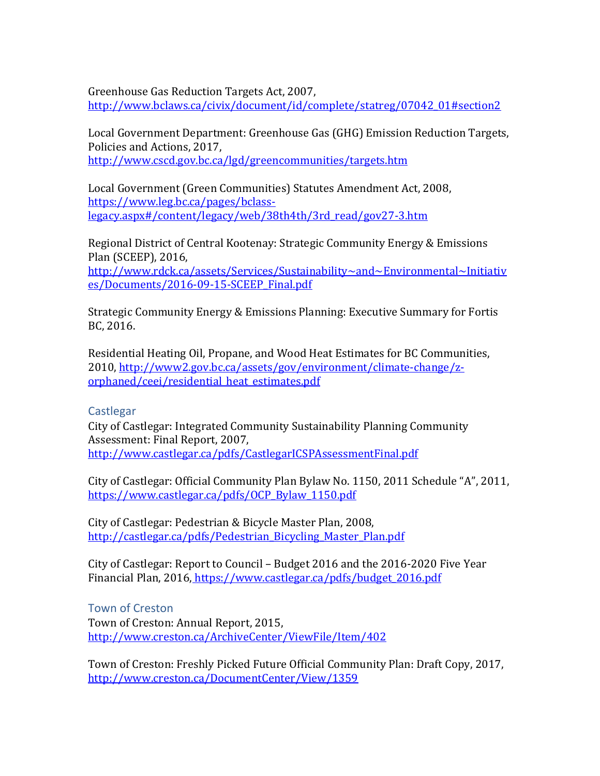Greenhouse Gas Reduction Targets Act, 2007,

http://www.bclaws.ca/civix/document/id/complete/statreg/07042\_01#section2

Local Government Department: Greenhouse Gas (GHG) Emission Reduction Targets, Policies and Actions, 2017. http://www.cscd.gov.bc.ca/lgd/greencommunities/targets.htm

Local Government (Green Communities) Statutes Amendment Act, 2008, https://www.leg.bc.ca/pages/bclasslegacy.aspx#/content/legacy/web/38th4th/3rd\_read/gov27-3.htm

Regional District of Central Kootenay: Strategic Community Energy & Emissions Plan (SCEEP), 2016,

http://www.rdck.ca/assets/Services/Sustainability~and~Environmental~Initiativ es/Documents/2016-09-15-SCEEP\_Final.pdf

Strategic Community Energy & Emissions Planning: Executive Summary for Fortis BC, 2016.

Residential Heating Oil, Propane, and Wood Heat Estimates for BC Communities, 2010, http://www2.gov.bc.ca/assets/gov/environment/climate-change/zorphaned/ceei/residential\_heat\_estimates.pdf

#### **Castlegar**

City of Castlegar: Integrated Community Sustainability Planning Community Assessment: Final Report, 2007, http://www.castlegar.ca/pdfs/CastlegarICSPAssessmentFinal.pdf

City of Castlegar: Official Community Plan Bylaw No. 1150, 2011 Schedule "A", 2011, https://www.castlegar.ca/pdfs/OCP\_Bylaw\_1150.pdf

City of Castlegar: Pedestrian & Bicycle Master Plan, 2008, http://castlegar.ca/pdfs/Pedestrian\_Bicycling\_Master\_Plan.pdf

City of Castlegar: Report to Council – Budget 2016 and the 2016-2020 Five Year Financial Plan, 2016, https://www.castlegar.ca/pdfs/budget\_2016.pdf

Town of Creston Town of Creston: Annual Report, 2015, http://www.creston.ca/ArchiveCenter/ViewFile/Item/402

Town of Creston: Freshly Picked Future Official Community Plan: Draft Copy, 2017, http://www.creston.ca/DocumentCenter/View/1359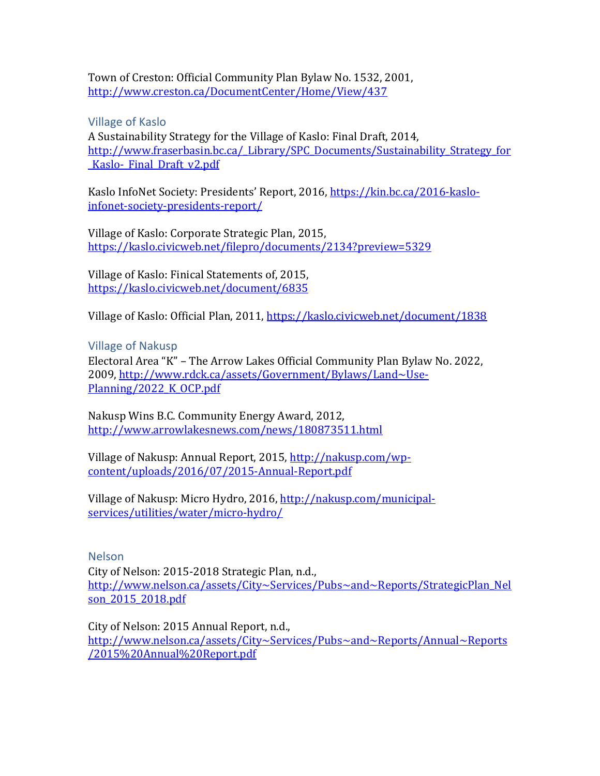Town of Creston: Official Community Plan Bylaw No. 1532, 2001, http://www.creston.ca/DocumentCenter/Home/View/437

Village of Kaslo

A Sustainability Strategy for the Village of Kaslo: Final Draft, 2014, http://www.fraserbasin.bc.ca/ Library/SPC Documents/Sustainability Strategy for Kaslo-Final Draft v2.pdf

Kaslo InfoNet Society: Presidents' Report, 2016, https://kin.bc.ca/2016-kasloinfonet-society-presidents-report/

Village of Kaslo: Corporate Strategic Plan, 2015, https://kaslo.civicweb.net/filepro/documents/2134?preview=5329

Village of Kaslo: Finical Statements of, 2015, https://kaslo.civicweb.net/document/6835

Village of Kaslo: Official Plan, 2011, https://kaslo.civicweb.net/document/1838

Village of Nakusp

Electoral Area "K" - The Arrow Lakes Official Community Plan Bylaw No. 2022, 2009, http://www.rdck.ca/assets/Government/Bylaws/Land~Use-Planning/2022\_K\_OCP.pdf

Nakusp Wins B.C. Community Energy Award, 2012, http://www.arrowlakesnews.com/news/180873511.html

Village of Nakusp: Annual Report, 2015, http://nakusp.com/wpcontent/uploads/2016/07/2015-Annual-Report.pdf

Village of Nakusp: Micro Hydro, 2016, http://nakusp.com/municipalservices/utilities/water/micro-hydro/

Nelson

City of Nelson: 2015-2018 Strategic Plan, n.d., http://www.nelson.ca/assets/City~Services/Pubs~and~Reports/StrategicPlan\_Nel son\_2015\_2018.pdf

City of Nelson: 2015 Annual Report, n.d.,

http://www.nelson.ca/assets/City~Services/Pubs~and~Reports/Annual~Reports /2015%20Annual%20Report.pdf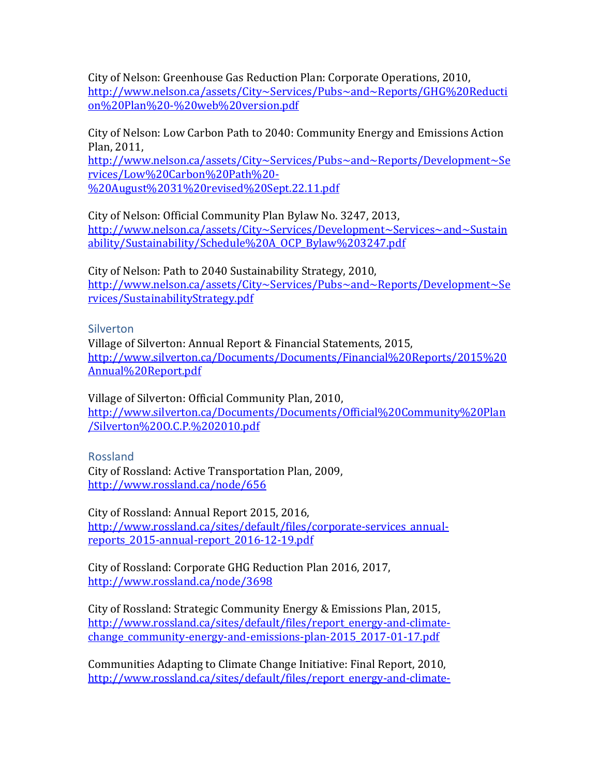City of Nelson: Greenhouse Gas Reduction Plan: Corporate Operations, 2010, http://www.nelson.ca/assets/City~Services/Pubs~and~Reports/GHG%20Reducti on%20Plan%20-%20web%20version.pdf

City of Nelson: Low Carbon Path to 2040: Community Energy and Emissions Action Plan, 2011.

http://www.nelson.ca/assets/City~Services/Pubs~and~Reports/Development~Se rvices/Low%20Carbon%20Path%20- %20August%2031%20revised%20Sept.22.11.pdf

City of Nelson: Official Community Plan Bylaw No. 3247, 2013, http://www.nelson.ca/assets/City~Services/Development~Services~and~Sustain ability/Sustainability/Schedule%20A\_OCP\_Bylaw%203247.pdf

City of Nelson: Path to 2040 Sustainability Strategy, 2010. http://www.nelson.ca/assets/City~Services/Pubs~and~Reports/Development~Se rvices/SustainabilityStrategy.pdf

**Silverton** 

Village of Silverton: Annual Report & Financial Statements, 2015, http://www.silverton.ca/Documents/Documents/Financial%20Reports/2015%20 Annual%20Report.pdf

Village of Silverton: Official Community Plan, 2010, http://www.silverton.ca/Documents/Documents/Official%20Community%20Plan /Silverton%20O.C.P.%202010.pdf

Rossland

City of Rossland: Active Transportation Plan, 2009, http://www.rossland.ca/node/656

City of Rossland: Annual Report 2015, 2016, http://www.rossland.ca/sites/default/files/corporate-services\_annualreports\_2015-annual-report\_2016-12-19.pdf

City of Rossland: Corporate GHG Reduction Plan 2016, 2017, http://www.rossland.ca/node/3698

City of Rossland: Strategic Community Energy & Emissions Plan, 2015, http://www.rossland.ca/sites/default/files/report\_energy-and-climatechange\_community-energy-and-emissions-plan-2015\_2017-01-17.pdf

Communities Adapting to Climate Change Initiative: Final Report, 2010, http://www.rossland.ca/sites/default/files/report\_energy-and-climate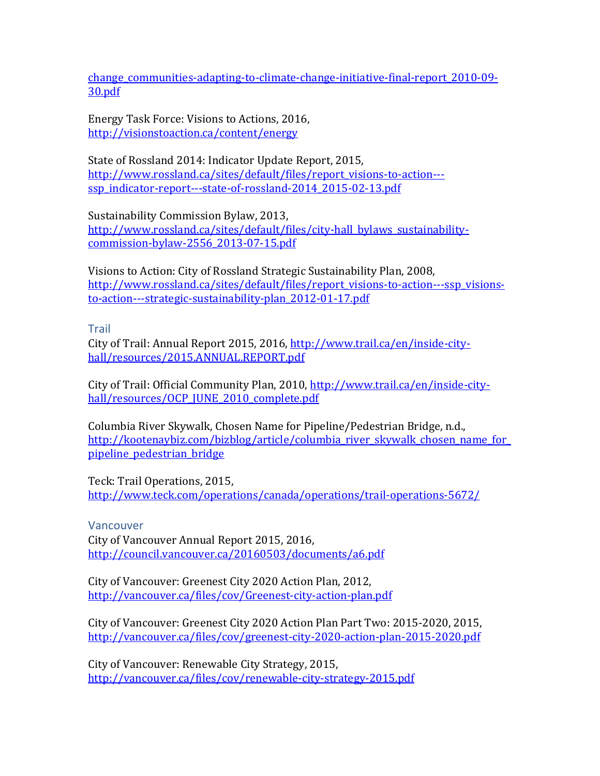change\_communities-adapting-to-climate-change-initiative-final-report\_2010-09-30.pdf

Energy Task Force: Visions to Actions, 2016, http://visionstoaction.ca/content/energy

State of Rossland 2014: Indicator Update Report, 2015, http://www.rossland.ca/sites/default/files/report\_visions-to-action-- ssp\_indicator-report---state-of-rossland-2014\_2015-02-13.pdf

Sustainability Commission Bylaw, 2013,

http://www.rossland.ca/sites/default/files/city-hall\_bylaws\_sustainabilitycommission-bylaw-2556\_2013-07-15.pdf

Visions to Action: City of Rossland Strategic Sustainability Plan, 2008. http://www.rossland.ca/sites/default/files/report\_visions-to-action---ssp\_visionsto-action---strategic-sustainability-plan\_2012-01-17.pdf

**Trail** 

City of Trail: Annual Report 2015, 2016, http://www.trail.ca/en/inside-cityhall/resources/2015.ANNUAL.REPORT.pdf

City of Trail: Official Community Plan, 2010, http://www.trail.ca/en/inside-cityhall/resources/OCP\_JUNE\_2010\_complete.pdf

Columbia River Skywalk, Chosen Name for Pipeline/Pedestrian Bridge, n.d., http://kootenaybiz.com/bizblog/article/columbia\_river\_skywalk\_chosen\_name\_for pipeline\_pedestrian\_bridge

Teck: Trail Operations, 2015, http://www.teck.com/operations/canada/operations/trail-operations-5672/

Vancouver

City of Vancouver Annual Report 2015, 2016, http://council.vancouver.ca/20160503/documents/a6.pdf

City of Vancouver: Greenest City 2020 Action Plan, 2012, http://vancouver.ca/files/cov/Greenest-city-action-plan.pdf

City of Vancouver: Greenest City 2020 Action Plan Part Two: 2015-2020, 2015, http://vancouver.ca/files/cov/greenest-city-2020-action-plan-2015-2020.pdf

City of Vancouver: Renewable City Strategy, 2015, http://vancouver.ca/files/cov/renewable-city-strategy-2015.pdf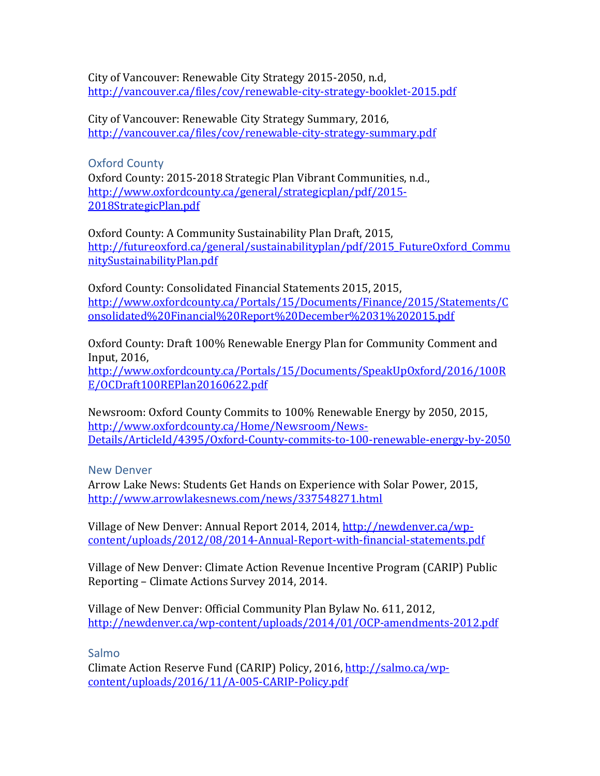City of Vancouver: Renewable City Strategy 2015-2050, n.d. http://vancouver.ca/files/cov/renewable-city-strategy-booklet-2015.pdf

City of Vancouver: Renewable City Strategy Summary, 2016, http://vancouver.ca/files/cov/renewable-city-strategy-summary.pdf

Oxford County Oxford County: 2015-2018 Strategic Plan Vibrant Communities, n.d., http://www.oxfordcounty.ca/general/strategicplan/pdf/2015- 2018StrategicPlan.pdf

Oxford County: A Community Sustainability Plan Draft, 2015, http://futureoxford.ca/general/sustainabilityplan/pdf/2015\_FutureOxford\_Commu nitySustainabilityPlan.pdf

Oxford County: Consolidated Financial Statements 2015, 2015, http://www.oxfordcounty.ca/Portals/15/Documents/Finance/2015/Statements/C onsolidated%20Financial%20Report%20December%2031%202015.pdf

Oxford County: Draft 100% Renewable Energy Plan for Community Comment and Input, 2016, 

http://www.oxfordcounty.ca/Portals/15/Documents/SpeakUpOxford/2016/100R E/OCDraft100REPlan20160622.pdf

Newsroom: Oxford County Commits to 100% Renewable Energy by 2050, 2015, http://www.oxfordcounty.ca/Home/Newsroom/News-Details/ArticleId/4395/Oxford-County-commits-to-100-renewable-energy-by-2050

New Denver

Arrow Lake News: Students Get Hands on Experience with Solar Power, 2015, http://www.arrowlakesnews.com/news/337548271.html

Village of New Denver: Annual Report 2014, 2014, http://newdenver.ca/wpcontent/uploads/2012/08/2014-Annual-Report-with-financial-statements.pdf

Village of New Denver: Climate Action Revenue Incentive Program (CARIP) Public Reporting – Climate Actions Survey 2014, 2014.

Village of New Denver: Official Community Plan Bylaw No. 611, 2012, http://newdenver.ca/wp-content/uploads/2014/01/OCP-amendments-2012.pdf

Salmo

Climate Action Reserve Fund (CARIP) Policy, 2016, http://salmo.ca/wpcontent/uploads/2016/11/A-005-CARIP-Policy.pdf